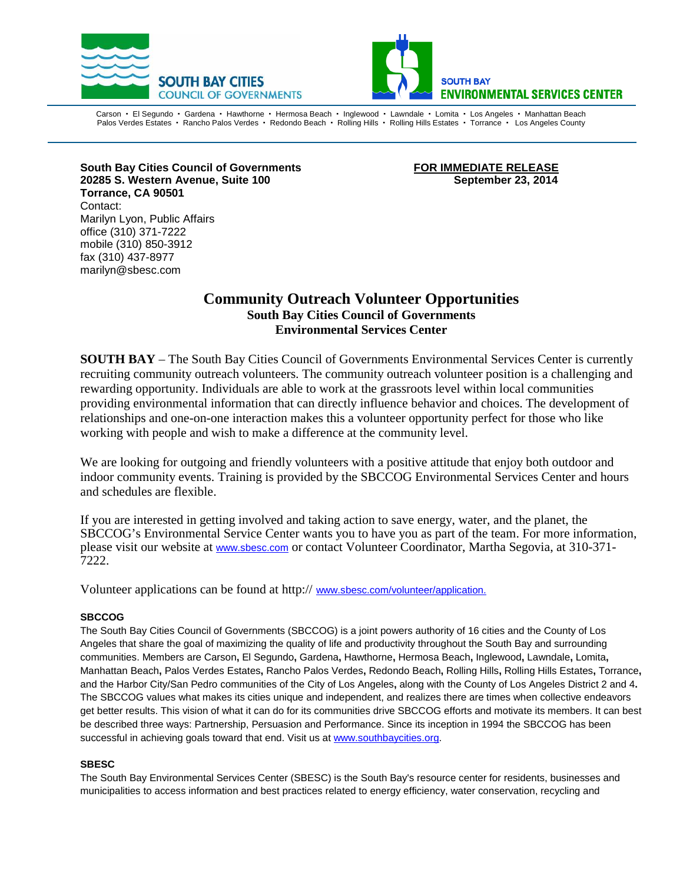



Carson • El Segundo • Gardena • Hawthorne • Hermosa Beach • Inglewood • Lawndale • Lomita • Los Angeles • Manhattan Beach Palos Verdes Estates · Rancho Palos Verdes · Redondo Beach · Rolling Hills · Rolling Hills Estates · Torrance · Los Angeles County

South Bay Cities Council of Governments **FOR IMMEDIATE RELEASE 20285 S. Western Avenue, Suite 100 September 23, 2014 Torrance, CA 90501** Contact: Marilyn Lyon, Public Affairs office (310) 371-7222 mobile (310) 850-3912 fax (310) 437-8977 marilyn@sbesc.com

## **Community Outreach Volunteer Opportunities South Bay Cities Council of Governments Environmental Services Center**

**SOUTH BAY** – The South Bay Cities Council of Governments Environmental Services Center is currently recruiting community outreach volunteers. The community outreach volunteer position is a challenging and rewarding opportunity. Individuals are able to work at the grassroots level within local communities providing environmental information that can directly influence behavior and choices. The development of relationships and one-on-one interaction makes this a volunteer opportunity perfect for those who like working with people and wish to make a difference at the community level.

We are looking for outgoing and friendly volunteers with a positive attitude that enjoy both outdoor and indoor community events. Training is provided by the SBCCOG Environmental Services Center and hours and schedules are flexible.

If you are interested in getting involved and taking action to save energy, water, and the planet, the SBCCOG's Environmental Service Center wants you to have you as part of the team. For more information, please visit our website at www.sbesc.com or contact Volunteer Coordinator, Martha Segovia, at 310-371- 7222.

Volunteer applications can be found at http:// www.sbesc.com/volunteer/application.

### **SBCCOG**

The South Bay Cities Council of Governments (SBCCOG) is a joint powers authority of 16 cities and the County of Los Angeles that share the goal of maximizing the quality of life and productivity throughout the South Bay and surrounding communities. Members are [Carson](http://ci.carson.ca.us/)**,** [El Segundo](http://www.elsegundo.org/)**,** [Gardena](http://www.ci.gardena.ca.us/)**,** [Hawthorne](http://www.cityofhawthorne.com/)**,** [Hermosa Beach](http://www.hermosabch.org/)**,** [Inglewood](http://www.cityofinglewood.org/default.asp)**,** [Lawndale](http://www.lawndalecity.org/)**,** [Lomita](http://www.lomita.com/cityhall/)**,**  [Manhattan Beach](http://www.ci.manhattan-beach.ca.us/)**,** [Palos Verdes Estates](http://palosverdes.com/pve/)**,** [Rancho Palos Verdes](http://www.palosverdes.com/rpv/)**,** [Redondo Beach](http://www.redondo.org/default.asp)**,** [Rolling Hills](http://www.palosverdes.com/rh/)**,** [Rolling Hills](http://www.ci.rolling-hills-estates.ca.us/) Estates**,** [Torrance](http://www.ci.torrance.ca.us/)**,**  and the Harbor City/San Pedro communities of the [City of Los Angeles](http://www.sanpedro.com/)**,** along with the [County of Los Angeles District 2 and 4](http://portal.lacounty.gov/wps/portal/%21ut/p/c1/04_SB8K8xLLM9MSSzPy8xBz9CP0os3gLAwgwsjAJdDMw8nG1CPU0NTYy8DUEykfilg80I6A7HGQfHv2mBOTNIPIGOICjgb6fR35uqn5BboRBZkC6IgB6KXqV/dl2/d1/L2dJQSEvUUt3QS9ZQnB3LzZfODAwMDAwMDAyOExUMzAyTFE5TlVQQTBHQTI%21/)**.**  The SBCCOG values what makes its cities unique and independent, and realizes there are times when collective endeavors get better results. This vision of what it can do for its communities drive SBCCOG efforts and motivate its members. It can best be described three ways: Partnership, Persuasion and Performance. Since its inception in 1994 the SBCCOG has been successful in achieving goals toward that end. Visit us at [www.southbaycities.org.](http://www.southbaycities.org/)

### **SBESC**

The South Bay Environmental Services Center (SBESC) is the South Bay's resource center for residents, businesses and municipalities to access information and best practices related to energy efficiency, water conservation, recycling and